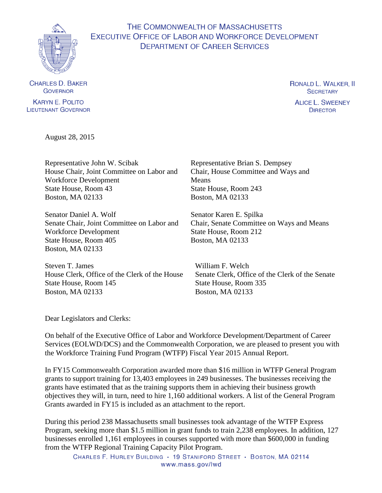

# THE COMMONWEALTH OF MASSACHUSETTS EXECUTIVE OFFICE OF LABOR AND WORKFORCE DEVELOPMENT **DEPARTMENT OF CAREER SERVICES**

**CHARLES D. BAKER** GOVERNOR

**KARYN E. POLITO LIEUTENANT GOVERNOR**  RONALD L. WALKER, II **SECRETARY** 

**ALICE L. SWEENEY DIRECTOR** 

August 28, 2015

Representative John W. Scibak House Chair, Joint Committee on Labor and Workforce Development State House, Room 43 Boston, MA 02133

Senator Daniel A. Wolf Senate Chair, Joint Committee on Labor and Workforce Development State House, Room 405 Boston, MA 02133

Steven T. James House Clerk, Office of the Clerk of the House State House, Room 145 Boston, MA 02133

Representative Brian S. Dempsey Chair, House Committee and Ways and Means State House, Room 243 Boston, MA 02133

Senator Karen E. Spilka Chair, Senate Committee on Ways and Means State House, Room 212 Boston, MA 02133

William F. Welch Senate Clerk, Office of the Clerk of the Senate State House, Room 335 Boston, MA 02133

Dear Legislators and Clerks:

On behalf of the Executive Office of Labor and Workforce Development/Department of Career Services (EOLWD/DCS) and the Commonwealth Corporation, we are pleased to present you with the Workforce Training Fund Program (WTFP) Fiscal Year 2015 Annual Report.

In FY15 Commonwealth Corporation awarded more than \$16 million in WTFP General Program grants to support training for 13,403 employees in 249 businesses. The businesses receiving the grants have estimated that as the training supports them in achieving their business growth objectives they will, in turn, need to hire 1,160 additional workers. A list of the General Program Grants awarded in FY15 is included as an attachment to the report.

During this period 238 Massachusetts small businesses took advantage of the WTFP Express Program, seeking more than \$1.5 million in grant funds to train 2,238 employees. In addition, 127 businesses enrolled 1,161 employees in courses supported with more than \$600,000 in funding from the WTFP Regional Training Capacity Pilot Program.

CHARLES F. HURLEY BUILDING · 19 STANIFORD STREET · BOSTON, MA 02114 www.mass.gov/lwd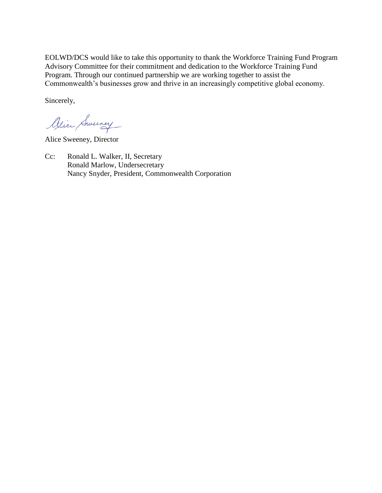EOLWD/DCS would like to take this opportunity to thank the Workforce Training Fund Program Advisory Committee for their commitment and dedication to the Workforce Training Fund Program. Through our continued partnership we are working together to assist the Commonwealth's businesses grow and thrive in an increasingly competitive global economy.

Sincerely,

Alice Sweeney

Alice Sweeney, Director

Cc: Ronald L. Walker, II, Secretary Ronald Marlow, Undersecretary Nancy Snyder, President, Commonwealth Corporation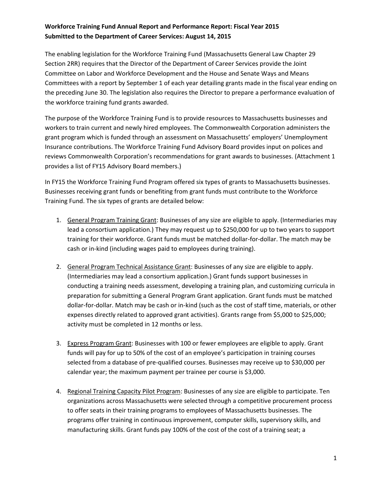The enabling legislation for the Workforce Training Fund (Massachusetts General Law Chapter 29 Section 2RR) requires that the Director of the Department of Career Services provide the Joint Committee on Labor and Workforce Development and the House and Senate Ways and Means Committees with a report by September 1 of each year detailing grants made in the fiscal year ending on the preceding June 30. The legislation also requires the Director to prepare a performance evaluation of the workforce training fund grants awarded.

The purpose of the Workforce Training Fund is to provide resources to Massachusetts businesses and workers to train current and newly hired employees. The Commonwealth Corporation administers the grant program which is funded through an assessment on Massachusetts' employers' Unemployment Insurance contributions. The Workforce Training Fund Advisory Board provides input on polices and reviews Commonwealth Corporation's recommendations for grant awards to businesses. (Attachment 1 provides a list of FY15 Advisory Board members.)

In FY15 the Workforce Training Fund Program offered six types of grants to Massachusetts businesses. Businesses receiving grant funds or benefiting from grant funds must contribute to the Workforce Training Fund. The six types of grants are detailed below:

- 1. General Program Training Grant: Businesses of any size are eligible to apply. (Intermediaries may lead a consortium application.) They may request up to \$250,000 for up to two years to support training for their workforce. Grant funds must be matched dollar-for-dollar. The match may be cash or in-kind (including wages paid to employees during training).
- 2. General Program Technical Assistance Grant: Businesses of any size are eligible to apply. (Intermediaries may lead a consortium application.) Grant funds support businesses in conducting a training needs assessment, developing a training plan, and customizing curricula in preparation for submitting a General Program Grant application. Grant funds must be matched dollar-for-dollar. Match may be cash or in-kind (such as the cost of staff time, materials, or other expenses directly related to approved grant activities). Grants range from \$5,000 to \$25,000; activity must be completed in 12 months or less.
- 3. Express Program Grant: Businesses with 100 or fewer employees are eligible to apply. Grant funds will pay for up to 50% of the cost of an employee's participation in training courses selected from a database of pre-qualified courses. Businesses may receive up to \$30,000 per calendar year; the maximum payment per trainee per course is \$3,000.
- 4. Regional Training Capacity Pilot Program: Businesses of any size are eligible to participate. Ten organizations across Massachusetts were selected through a competitive procurement process to offer seats in their training programs to employees of Massachusetts businesses. The programs offer training in continuous improvement, computer skills, supervisory skills, and manufacturing skills. Grant funds pay 100% of the cost of the cost of a training seat; a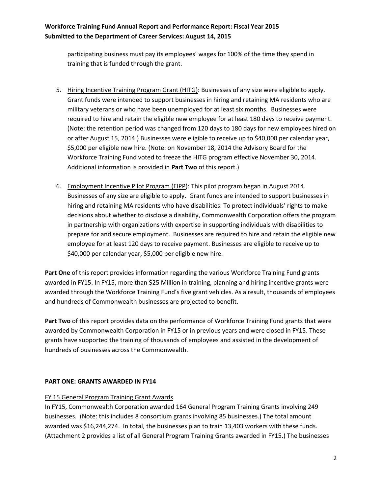participating business must pay its employees' wages for 100% of the time they spend in training that is funded through the grant.

- 5. Hiring Incentive Training Program Grant (HITG): Businesses of any size were eligible to apply. Grant funds were intended to support businesses in hiring and retaining MA residents who are military veterans or who have been unemployed for at least six months. Businesses were required to hire and retain the eligible new employee for at least 180 days to receive payment. (Note: the retention period was changed from 120 days to 180 days for new employees hired on or after August 15, 2014.) Businesses were eligible to receive up to \$40,000 per calendar year, \$5,000 per eligible new hire. (Note: on November 18, 2014 the Advisory Board for the Workforce Training Fund voted to freeze the HITG program effective November 30, 2014. Additional information is provided in **Part Two** of this report.)
- 6. Employment Incentive Pilot Program (EIPP): This pilot program began in August 2014. Businesses of any size are eligible to apply. Grant funds are intended to support businesses in hiring and retaining MA residents who have disabilities. To protect individuals' rights to make decisions about whether to disclose a disability, Commonwealth Corporation offers the program in partnership with organizations with expertise in supporting individuals with disabilities to prepare for and secure employment. Businesses are required to hire and retain the eligible new employee for at least 120 days to receive payment. Businesses are eligible to receive up to \$40,000 per calendar year, \$5,000 per eligible new hire.

**Part One** of this report provides information regarding the various Workforce Training Fund grants awarded in FY15. In FY15, more than \$25 Million in training, planning and hiring incentive grants were awarded through the Workforce Training Fund's five grant vehicles. As a result, thousands of employees and hundreds of Commonwealth businesses are projected to benefit.

**Part Two** of this report provides data on the performance of Workforce Training Fund grants that were awarded by Commonwealth Corporation in FY15 or in previous years and were closed in FY15. These grants have supported the training of thousands of employees and assisted in the development of hundreds of businesses across the Commonwealth.

## **PART ONE: GRANTS AWARDED IN FY14**

#### FY 15 General Program Training Grant Awards

In FY15, Commonwealth Corporation awarded 164 General Program Training Grants involving 249 businesses. (Note: this includes 8 consortium grants involving 85 businesses.) The total amount awarded was \$16,244,274. In total, the businesses plan to train 13,403 workers with these funds. (Attachment 2 provides a list of all General Program Training Grants awarded in FY15.) The businesses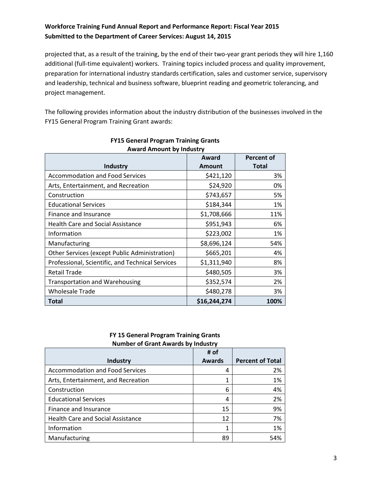projected that, as a result of the training, by the end of their two-year grant periods they will hire 1,160 additional (full-time equivalent) workers. Training topics included process and quality improvement, preparation for international industry standards certification, sales and customer service, supervisory and leadership, technical and business software, blueprint reading and geometric tolerancing, and project management.

The following provides information about the industry distribution of the businesses involved in the FY15 General Program Training Grant awards:

|                                                  | <b>Percent of</b> |              |
|--------------------------------------------------|-------------------|--------------|
| <b>Industry</b>                                  | <b>Amount</b>     | <b>Total</b> |
| <b>Accommodation and Food Services</b>           | \$421,120         | 3%           |
| Arts, Entertainment, and Recreation              | \$24,920          | 0%           |
| Construction                                     | \$743,657         | 5%           |
| <b>Educational Services</b>                      | \$184,344         | 1%           |
| Finance and Insurance                            | \$1,708,666       | 11%          |
| <b>Health Care and Social Assistance</b>         | \$951,943         | 6%           |
| Information                                      | \$223,002         | 1%           |
| Manufacturing                                    | \$8,696,124       | 54%          |
| Other Services (except Public Administration)    | \$665,201         | 4%           |
| Professional, Scientific, and Technical Services | \$1,311,940       | 8%           |
| <b>Retail Trade</b>                              | \$480,505         | 3%           |
| <b>Transportation and Warehousing</b>            | \$352,574         | 2%           |
| <b>Wholesale Trade</b>                           | \$480,278         | 3%           |
| Total                                            | \$16,244,274      | 100%         |

# **FY15 General Program Training Grants**

#### **FY 15 General Program Training Grants Number of Grant Awards by Industry**

|                                          | # of          |                         |  |  |
|------------------------------------------|---------------|-------------------------|--|--|
| Industry                                 | <b>Awards</b> | <b>Percent of Total</b> |  |  |
| <b>Accommodation and Food Services</b>   | 4             | 2%                      |  |  |
| Arts, Entertainment, and Recreation      |               | 1%                      |  |  |
| Construction                             | 6             | 4%                      |  |  |
| <b>Educational Services</b>              | 4             | 2%                      |  |  |
| Finance and Insurance                    | 15            | 9%                      |  |  |
| <b>Health Care and Social Assistance</b> | 12            | 7%                      |  |  |
| Information                              |               | 1%                      |  |  |
| Manufacturing                            | 89            | 54%                     |  |  |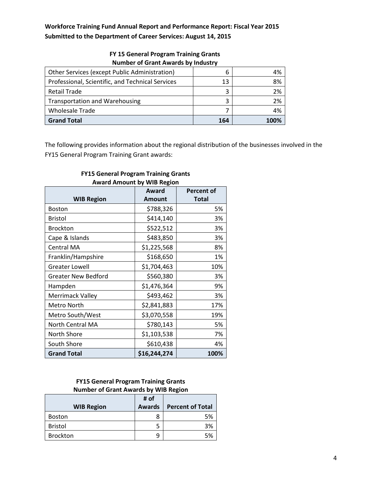| Other Services (except Public Administration)    | ь   | 4%   |
|--------------------------------------------------|-----|------|
| Professional, Scientific, and Technical Services | 13  | 8%   |
| Retail Trade                                     | 3   | 2%   |
| <b>Transportation and Warehousing</b>            | 3   | 2%   |
| <b>Wholesale Trade</b>                           |     | 4%   |
| <b>Grand Total</b>                               | 164 | 100% |

#### **FY 15 General Program Training Grants Number of Grant Awards by Industry**

The following provides information about the regional distribution of the businesses involved in the FY15 General Program Training Grant awards:

|                            | Award        | <b>Percent of</b> |
|----------------------------|--------------|-------------------|
| <b>WIB Region</b>          | Amount       | <b>Total</b>      |
| <b>Boston</b>              | \$788,326    | 5%                |
| <b>Bristol</b>             | \$414,140    | 3%                |
| <b>Brockton</b>            | \$522,512    | 3%                |
| Cape & Islands             | \$483,850    | 3%                |
| Central MA                 | \$1,225,568  | 8%                |
| Franklin/Hampshire         | \$168,650    | 1%                |
| <b>Greater Lowell</b>      | \$1,704,463  | 10%               |
| <b>Greater New Bedford</b> | \$560,380    | 3%                |
| Hampden                    | \$1,476,364  | 9%                |
| Merrimack Valley           | \$493,462    | 3%                |
| Metro North                | \$2,841,883  | 17%               |
| Metro South/West           | \$3,070,558  | 19%               |
| North Central MA           | \$780,143    | 5%                |
| North Shore                | \$1,103,538  | 7%                |
| South Shore                | \$610,438    | 4%                |
| <b>Grand Total</b>         | \$16,244,274 | 100%              |

#### **FY15 General Program Training Grants Award Amount by WIB Region**

# **FY15 General Program Training Grants Number of Grant Awards by WIB Region**

|                   | # of          |                         |
|-------------------|---------------|-------------------------|
| <b>WIB Region</b> | <b>Awards</b> | <b>Percent of Total</b> |
| <b>Boston</b>     |               | 5%                      |
| <b>Bristol</b>    |               | 3%                      |
| <b>Brockton</b>   | q             | 5%                      |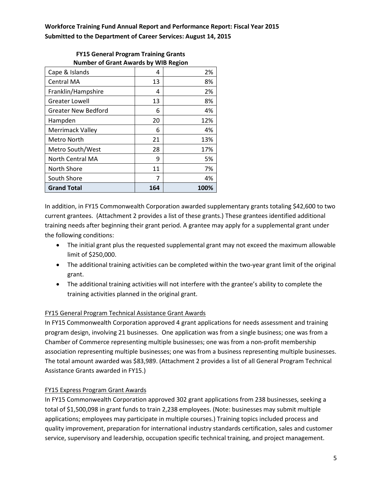| <b>NUMBER OF GRAIN Awards by WID NEGION</b> |     |      |  |
|---------------------------------------------|-----|------|--|
| Cape & Islands                              | 4   | 2%   |  |
| <b>Central MA</b>                           | 13  | 8%   |  |
| Franklin/Hampshire                          | 4   | 2%   |  |
| <b>Greater Lowell</b>                       | 13  | 8%   |  |
| <b>Greater New Bedford</b>                  | 6   | 4%   |  |
| Hampden                                     | 20  | 12%  |  |
| Merrimack Valley                            | 6   | 4%   |  |
| Metro North                                 | 21  | 13%  |  |
| Metro South/West                            | 28  | 17%  |  |
| North Central MA                            | 9   | 5%   |  |
| North Shore                                 | 11  | 7%   |  |
| South Shore                                 | 7   | 4%   |  |
| <b>Grand Total</b>                          | 164 | 100% |  |

#### **FY15 General Program Training Grants Number of Grant Awards by WIB Region**

In addition, in FY15 Commonwealth Corporation awarded supplementary grants totaling \$42,600 to two current grantees. (Attachment 2 provides a list of these grants.) These grantees identified additional training needs after beginning their grant period. A grantee may apply for a supplemental grant under the following conditions:

- The initial grant plus the requested supplemental grant may not exceed the maximum allowable limit of \$250,000.
- The additional training activities can be completed within the two-year grant limit of the original grant.
- The additional training activities will not interfere with the grantee's ability to complete the training activities planned in the original grant.

# FY15 General Program Technical Assistance Grant Awards

In FY15 Commonwealth Corporation approved 4 grant applications for needs assessment and training program design, involving 21 businesses. One application was from a single business; one was from a Chamber of Commerce representing multiple businesses; one was from a non-profit membership association representing multiple businesses; one was from a business representing multiple businesses. The total amount awarded was \$83,989. (Attachment 2 provides a list of all General Program Technical Assistance Grants awarded in FY15.)

## FY15 Express Program Grant Awards

In FY15 Commonwealth Corporation approved 302 grant applications from 238 businesses, seeking a total of \$1,500,098 in grant funds to train 2,238 employees. (Note: businesses may submit multiple applications; employees may participate in multiple courses.) Training topics included process and quality improvement, preparation for international industry standards certification, sales and customer service, supervisory and leadership, occupation specific technical training, and project management.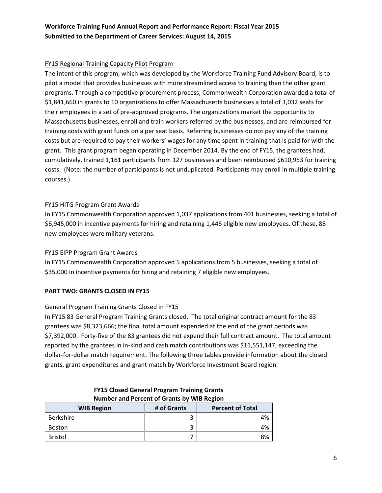## FY15 Regional Training Capacity Pilot Program

The intent of this program, which was developed by the Workforce Training Fund Advisory Board, is to pilot a model that provides businesses with more streamlined access to training than the other grant programs. Through a competitive procurement process, Commonwealth Corporation awarded a total of \$1,841,660 in grants to 10 organizations to offer Massachusetts businesses a total of 3,032 seats for their employees in a set of pre-approved programs. The organizations market the opportunity to Massachusetts businesses, enroll and train workers referred by the businesses, and are reimbursed for training costs with grant funds on a per seat basis. Referring businesses do not pay any of the training costs but are required to pay their workers' wages for any time spent in training that is paid for with the grant. This grant program began operating in December 2014. By the end of FY15, the grantees had, cumulatively, trained 1,161 participants from 127 businesses and been reimbursed \$610,953 for training costs. (Note: the number of participants is not unduplicated. Participants may enroll in multiple training courses.)

## FY15 HITG Program Grant Awards

In FY15 Commonwealth Corporation approved 1,037 applications from 401 businesses, seeking a total of \$6,945,000 in incentive payments for hiring and retaining 1,446 eligible new employees. Of these, 88 new employees were military veterans.

## FY15 EIPP Program Grant Awards

In FY15 Commonwealth Corporation approved 5 applications from 5 businesses, seeking a total of \$35,000 in incentive payments for hiring and retaining 7 eligible new employees.

## **PART TWO: GRANTS CLOSED IN FY15**

## General Program Training Grants Closed in FY15

In FY15 83 General Program Training Grants closed. The total original contract amount for the 83 grantees was \$8,323,666; the final total amount expended at the end of the grant periods was \$7,392,000. Forty-five of the 83 grantees did not expend their full contract amount. The total amount reported by the grantees in in-kind and cash match contributions was \$11,551,147, exceeding the dollar-for-dollar match requirement. The following three tables provide information about the closed grants, grant expenditures and grant match by Workforce Investment Board region.

| <b>NUMBER ON LIGHT OF STATIS BY WID REGION</b> |             |                         |  |
|------------------------------------------------|-------------|-------------------------|--|
| <b>WIB Region</b>                              | # of Grants | <b>Percent of Total</b> |  |
| Berkshire                                      |             | 4%                      |  |
| Boston                                         |             | 4%                      |  |
| <b>Bristol</b>                                 |             | 8%                      |  |

**FY15 Closed General Program Training Grants Number and Percent of Grants by WIB Region**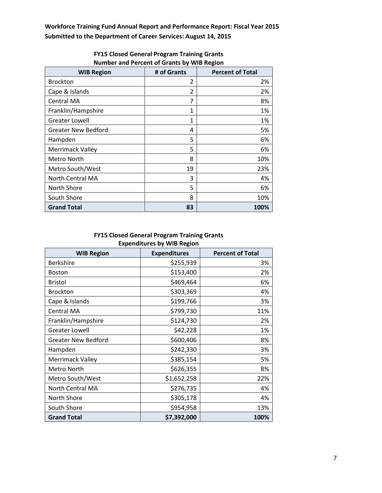| <b>WIB Region</b>          | # of Grants | <b>Percent of Total</b> |
|----------------------------|-------------|-------------------------|
| <b>Brockton</b>            | 2           | 2%                      |
| Cape & Islands             | 2           | 2%                      |
| Central MA                 | 7           | 8%                      |
| Franklin/Hampshire         | 1           | 1%                      |
| <b>Greater Lowell</b>      | 1           | 1%                      |
| <b>Greater New Bedford</b> | 4           | 5%                      |
| Hampden                    | 5           | 6%                      |
| <b>Merrimack Valley</b>    | 5           | 6%                      |
| Metro North                | 8           | 10%                     |
| Metro South/West           | 19          | 23%                     |
| <b>North Central MA</b>    | 3           | 4%                      |
| North Shore                | 5           | 6%                      |
| South Shore                | 8           | 10%                     |
| <b>Grand Total</b>         | 83          | 100%                    |

## **FY15 Closed General Program Training Grants Number and Percent of Grants by WIB Region**

#### **FY15 Closed General Program Training Grants Expenditures by WIB Region**

| <b>WIB Region</b>          | <b>Expenditures</b> | <b>Percent of Total</b> |
|----------------------------|---------------------|-------------------------|
| <b>Berkshire</b>           | \$255,939           | 3%                      |
| <b>Boston</b>              | \$153,400           | 2%                      |
| <b>Bristol</b>             | \$469,464           | 6%                      |
| <b>Brockton</b>            | \$303,369           | 4%                      |
| Cape & Islands             | \$199,766           | 3%                      |
| Central MA                 | \$799,730           | 11%                     |
| Franklin/Hampshire         | \$124,730           | 2%                      |
| <b>Greater Lowell</b>      | \$42,228            | 1%                      |
| <b>Greater New Bedford</b> | \$600,406           | 8%                      |
| Hampden                    | \$242,330           | 3%                      |
| <b>Merrimack Valley</b>    | \$385,154           | 5%                      |
| Metro North                | \$626,355           | 8%                      |
| Metro South/West           | \$1,652,258         | 22%                     |
| North Central MA           | \$276,735           | 4%                      |
| North Shore                | \$305,178           | 4%                      |
| South Shore                | \$954,958           | 13%                     |
| <b>Grand Total</b>         | \$7,392,000         | 100%                    |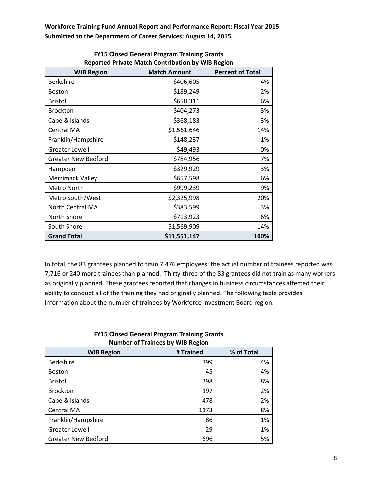| <b>WIB Region</b>          | <b>Match Amount</b> | <b>Percent of Total</b> |
|----------------------------|---------------------|-------------------------|
| Berkshire                  | \$406,605           | 4%                      |
| <b>Boston</b>              | \$189,249           | 2%                      |
| Bristol                    | \$658,311           | 6%                      |
| <b>Brockton</b>            | \$404,273           | 3%                      |
| Cape & Islands             | \$368,183           | 3%                      |
| <b>Central MA</b>          | \$1,561,646         | 14%                     |
| Franklin/Hampshire         | \$148,237           | 1%                      |
| <b>Greater Lowell</b>      | \$49,493            | 0%                      |
| <b>Greater New Bedford</b> | \$784,956           | 7%                      |
| Hampden                    | \$329,929           | 3%                      |
| Merrimack Valley           | \$657,598           | 6%                      |
| Metro North                | \$999,239           | 9%                      |
| Metro South/West           | \$2,325,998         | 20%                     |
| North Central MA           | \$383,599           | 3%                      |
| North Shore                | \$713,923           | 6%                      |
| South Shore                | \$1,569,909         | 14%                     |
| <b>Grand Total</b>         | \$11,551,147        | 100%                    |

**FY15 Closed General Program Training Grants Reported Private Match Contribution by WIB Region**

In total, the 83 grantees planned to train 7,476 employees; the actual number of trainees reported was 7,716 or 240 more trainees than planned. Thirty-three of the 83 grantees did not train as many workers as originally planned. These grantees reported that changes in business circumstances affected their ability to conduct all of the training they had originally planned. The following table provides information about the number of trainees by Workforce Investment Board region.

| <b>NUMBER OF FRAME OF A VID RESIGN</b> |           |            |  |  |
|----------------------------------------|-----------|------------|--|--|
| <b>WIB Region</b>                      | # Trained | % of Total |  |  |
| <b>Berkshire</b>                       | 399       | 4%         |  |  |
| <b>Boston</b>                          | 45        | 4%         |  |  |
| <b>Bristol</b>                         | 398       | 8%         |  |  |
| <b>Brockton</b>                        | 197       | 2%         |  |  |
| Cape & Islands                         | 478       | 2%         |  |  |
| Central MA                             | 1173      | 8%         |  |  |
| Franklin/Hampshire                     | 86        | 1%         |  |  |
| <b>Greater Lowell</b>                  | 29        | 1%         |  |  |
| <b>Greater New Bedford</b>             | 696       | 5%         |  |  |

#### **FY15 Closed General Program Training Grants Number of Trainees by WIB Region**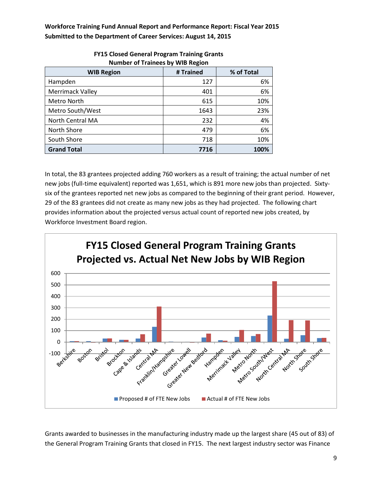| <b>WIB Region</b>       | # Trained | % of Total |  |
|-------------------------|-----------|------------|--|
| Hampden                 | 127       | 6%         |  |
| <b>Merrimack Valley</b> | 401       | 6%         |  |
| Metro North             | 615       | 10%        |  |
| Metro South/West        | 1643      | 23%        |  |
| North Central MA        | 232       | 4%         |  |
| North Shore             | 479       | 6%         |  |
| South Shore             | 718       | 10%        |  |
| <b>Grand Total</b>      | 7716      | 100%       |  |

#### **FY15 Closed General Program Training Grants Number of Trainees by WIB Region**

In total, the 83 grantees projected adding 760 workers as a result of training; the actual number of net new jobs (full-time equivalent) reported was 1,651, which is 891 more new jobs than projected. Sixtysix of the grantees reported net new jobs as compared to the beginning of their grant period. However, 29 of the 83 grantees did not create as many new jobs as they had projected. The following chart provides information about the projected versus actual count of reported new jobs created, by Workforce Investment Board region.



Grants awarded to businesses in the manufacturing industry made up the largest share (45 out of 83) of the General Program Training Grants that closed in FY15. The next largest industry sector was Finance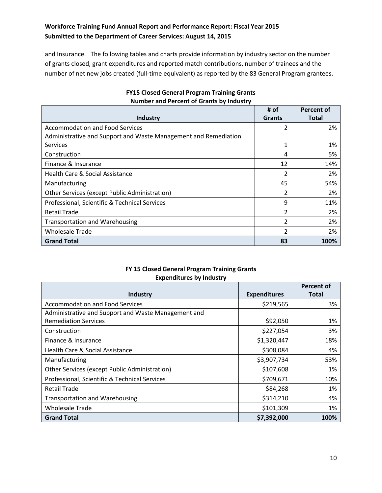and Insurance. The following tables and charts provide information by industry sector on the number of grants closed, grant expenditures and reported match contributions, number of trainees and the number of net new jobs created (full-time equivalent) as reported by the 83 General Program grantees.

| Industry                                                        | # of<br><b>Grants</b> | Percent of<br><b>Total</b> |
|-----------------------------------------------------------------|-----------------------|----------------------------|
| <b>Accommodation and Food Services</b>                          | 2                     | 2%                         |
| Administrative and Support and Waste Management and Remediation |                       |                            |
| <b>Services</b>                                                 |                       | 1%                         |
| Construction                                                    | 4                     | 5%                         |
| Finance & Insurance                                             | 12                    | 14%                        |
| Health Care & Social Assistance                                 | $\overline{2}$        | 2%                         |
| Manufacturing                                                   | 45                    | 54%                        |
| Other Services (except Public Administration)                   | $\overline{2}$        | 2%                         |
| Professional, Scientific & Technical Services                   | 9                     | 11%                        |
| <b>Retail Trade</b>                                             | $\overline{2}$        | 2%                         |
| <b>Transportation and Warehousing</b>                           | 2                     | 2%                         |
| <b>Wholesale Trade</b>                                          | $\mathfrak z$         | 2%                         |
| <b>Grand Total</b>                                              | 83                    | 100%                       |

## **FY15 Closed General Program Training Grants Number and Percent of Grants by Industry**

#### **FY 15 Closed General Program Training Grants Expenditures by Industry**

| <b>Industry</b>                                     | <b>Expenditures</b> | Percent of<br><b>Total</b> |
|-----------------------------------------------------|---------------------|----------------------------|
| <b>Accommodation and Food Services</b>              | \$219,565           | 3%                         |
| Administrative and Support and Waste Management and |                     |                            |
| <b>Remediation Services</b>                         | \$92,050            | 1%                         |
| Construction                                        | \$227,054           | 3%                         |
| Finance & Insurance                                 | \$1,320,447         | 18%                        |
| <b>Health Care &amp; Social Assistance</b>          | \$308,084           | 4%                         |
| Manufacturing                                       | \$3,907,734         | 53%                        |
| Other Services (except Public Administration)       | \$107,608           | 1%                         |
| Professional, Scientific & Technical Services       | \$709,671           | 10%                        |
| <b>Retail Trade</b>                                 | \$84,268            | 1%                         |
| <b>Transportation and Warehousing</b>               | \$314,210           | 4%                         |
| <b>Wholesale Trade</b>                              | \$101,309           | 1%                         |
| <b>Grand Total</b>                                  | \$7,392,000         | 100%                       |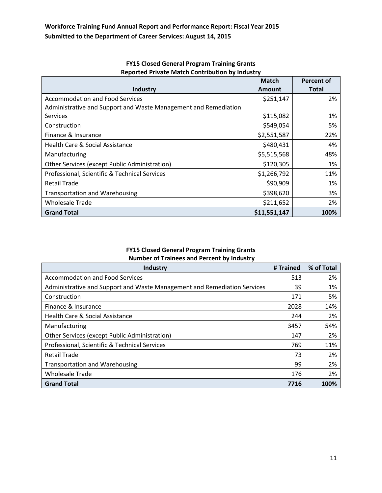|                                                                 | <b>Match</b>  | Percent of   |
|-----------------------------------------------------------------|---------------|--------------|
| Industry                                                        | <b>Amount</b> | <b>Total</b> |
| <b>Accommodation and Food Services</b>                          | \$251,147     | 2%           |
| Administrative and Support and Waste Management and Remediation |               |              |
| <b>Services</b>                                                 | \$115,082     | 1%           |
| Construction                                                    | \$549,054     | 5%           |
| Finance & Insurance                                             | \$2,551,587   | 22%          |
| Health Care & Social Assistance                                 | \$480,431     | 4%           |
| Manufacturing                                                   | \$5,515,568   | 48%          |
| Other Services (except Public Administration)                   | \$120,305     | 1%           |
| Professional, Scientific & Technical Services                   | \$1,266,792   | 11%          |
| <b>Retail Trade</b>                                             | \$90,909      | 1%           |
| <b>Transportation and Warehousing</b>                           | \$398,620     | 3%           |
| <b>Wholesale Trade</b>                                          | \$211,652     | 2%           |
| <b>Grand Total</b>                                              | \$11,551,147  | 100%         |

# **FY15 Closed General Program Training Grants Reported Private Match Contribution by Industry**

### **FY15 Closed General Program Training Grants Number of Trainees and Percent by Industry**

| Industry                                                                 | # Trained | % of Total |
|--------------------------------------------------------------------------|-----------|------------|
| <b>Accommodation and Food Services</b>                                   | 513       | 2%         |
| Administrative and Support and Waste Management and Remediation Services | 39        | 1%         |
| Construction                                                             | 171       | 5%         |
| Finance & Insurance                                                      | 2028      | 14%        |
| Health Care & Social Assistance                                          | 244       | 2%         |
| Manufacturing                                                            | 3457      | 54%        |
| Other Services (except Public Administration)                            | 147       | 2%         |
| Professional, Scientific & Technical Services                            | 769       | 11%        |
| <b>Retail Trade</b>                                                      | 73        | 2%         |
| <b>Transportation and Warehousing</b>                                    | 99        | 2%         |
| Wholesale Trade                                                          | 176       | 2%         |
| <b>Grand Total</b>                                                       | 7716      | 100%       |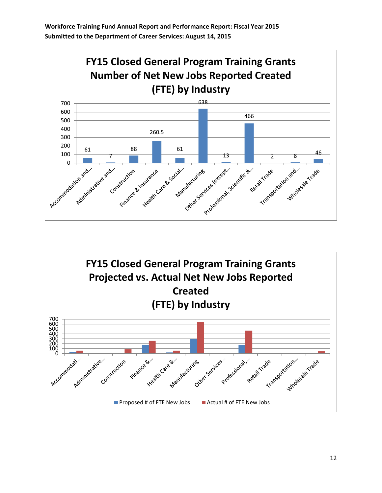